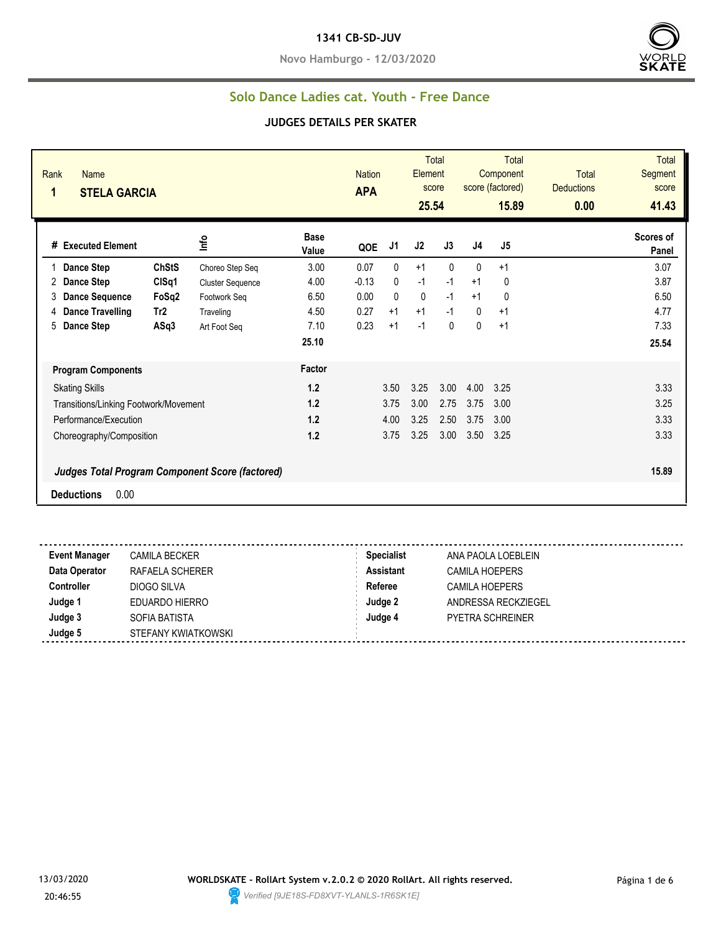#### **1341 CB-SD-JUV**

**Novo Hamburgo - 12/03/2020**



### **Solo Dance Ladies cat. Youth - Free Dance**

| Rank<br><b>Name</b><br>1<br><b>STELA GARCIA</b> |              |                         |                      | <b>Nation</b><br><b>APA</b> |              | Element<br>25.54 | <b>Total</b><br>score |      | <b>Total</b><br>Component<br>score (factored)<br>15.89 | <b>Total</b><br><b>Deductions</b><br>0.00 | <b>Total</b><br><b>Segment</b><br>score<br>41.43 |
|-------------------------------------------------|--------------|-------------------------|----------------------|-----------------------------|--------------|------------------|-----------------------|------|--------------------------------------------------------|-------------------------------------------|--------------------------------------------------|
| # Executed Element                              |              | Info                    | <b>Base</b><br>Value | QOE                         | J1           | J2               | J3                    | J4   | J5                                                     |                                           | Scores of<br>Panel                               |
| <b>Dance Step</b>                               | <b>ChStS</b> | Choreo Step Seq         | 3.00                 | 0.07                        | $\mathbf{0}$ | $+1$             | $\mathbf{0}$          | 0    | $+1$                                                   |                                           | 3.07                                             |
| <b>Dance Step</b><br>2                          | CISq1        | <b>Cluster Sequence</b> | 4.00                 | $-0.13$                     | $\mathbf{0}$ | $-1$             | $-1$                  | $+1$ | 0                                                      |                                           | 3.87                                             |
| 3<br><b>Dance Sequence</b>                      | FoSq2        | Footwork Seg            | 6.50                 | 0.00                        | $\Omega$     | $\mathbf 0$      | $-1$                  | $+1$ | 0                                                      |                                           | 6.50                                             |
| <b>Dance Travelling</b><br>4                    | Tr2          | Traveling               | 4.50                 | 0.27                        | $+1$         | $+1$             | $-1$                  | 0    | $+1$                                                   |                                           | 4.77                                             |
| 5<br><b>Dance Step</b>                          | ASq3         | Art Foot Seg            | 7.10                 | 0.23                        | $+1$         | $-1$             | $\mathbf{0}$          | 0    | $+1$                                                   |                                           | 7.33                                             |
|                                                 |              |                         | 25.10                |                             |              |                  |                       |      |                                                        |                                           | 25.54                                            |
| <b>Program Components</b>                       |              |                         | Factor               |                             |              |                  |                       |      |                                                        |                                           |                                                  |
| <b>Skating Skills</b>                           |              |                         | 1.2                  |                             | 3.50         | 3.25             | 3.00                  | 4.00 | 3.25                                                   |                                           | 3.33                                             |
| Transitions/Linking Footwork/Movement           |              |                         | 1.2                  |                             | 3.75         | 3.00             | 2.75                  | 3.75 | 3.00                                                   |                                           | 3.25                                             |
| Performance/Execution                           |              |                         | 1.2                  |                             | 4.00         | 3.25             | 2.50                  | 3.75 | 3.00                                                   |                                           | 3.33                                             |
| Choreography/Composition                        |              |                         | 1.2                  |                             | 3.75         | 3.25             | 3.00                  | 3.50 | 3.25                                                   |                                           | 3.33                                             |
| Judges Total Program Component Score (factored) |              |                         |                      |                             |              |                  |                       |      |                                                        |                                           | 15.89                                            |
| 0.00<br><b>Deductions</b>                       |              |                         |                      |                             |              |                  |                       |      |                                                        |                                           |                                                  |
|                                                 |              |                         |                      |                             |              |                  |                       |      |                                                        |                                           |                                                  |

| <b>Event Manager</b> | <b>CAMILA BECKER</b> | <b>Specialist</b> | ANA PAOLA LOEBLEIN      |
|----------------------|----------------------|-------------------|-------------------------|
| Data Operator        | RAFAELA SCHERER      | <b>Assistant</b>  | <b>CAMILA HOEPERS</b>   |
| <b>Controller</b>    | DIOGO SILVA          | Referee           | <b>CAMILA HOEPERS</b>   |
| Judge 1              | EDUARDO HIERRO       | Judge 2           | ANDRESSA RECKZIEGEL     |
| Judge 3              | SOFIA BATISTA        | Judge 4           | <b>PYETRA SCHREINER</b> |
| Judge 5              | STEFANY KWIATKOWSKI  |                   |                         |

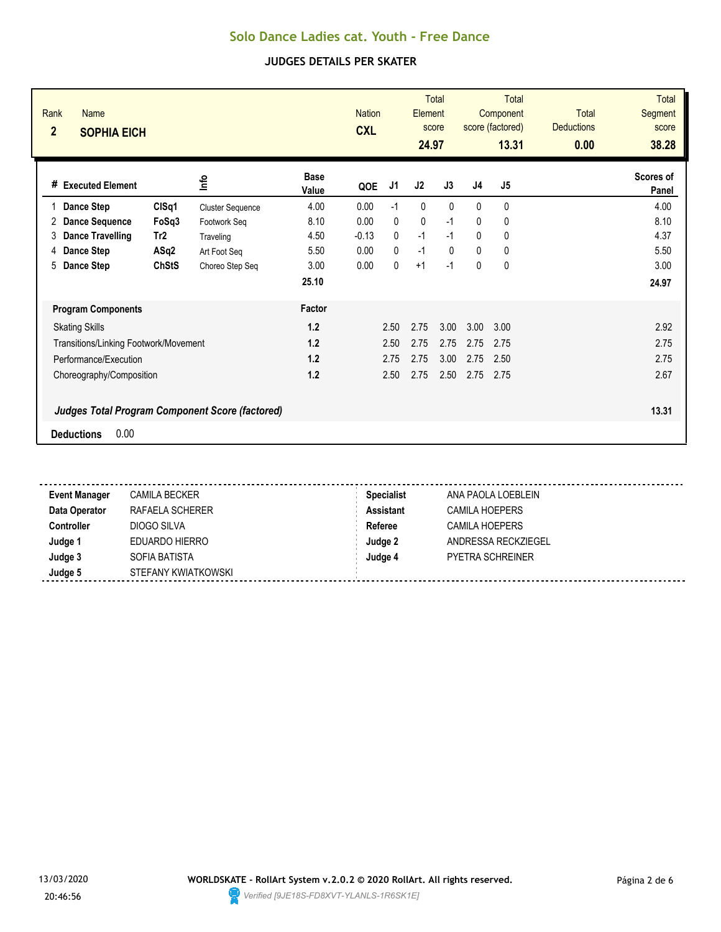| Rank<br>Name<br>$\overline{2}$<br><b>SOPHIA EICH</b>   |                         |                      | <b>Nation</b><br><b>CXL</b> |              | Element<br>24.97 | <b>Total</b><br>score |                | <b>Total</b><br>Component<br>score (factored)<br>13.31 | <b>Total</b><br><b>Deductions</b><br>0.00 | <b>Total</b><br>Segment<br>score<br>38.28 |
|--------------------------------------------------------|-------------------------|----------------------|-----------------------------|--------------|------------------|-----------------------|----------------|--------------------------------------------------------|-------------------------------------------|-------------------------------------------|
| #<br><b>Executed Element</b>                           | lnfo                    | <b>Base</b><br>Value | QOE                         | J1           | J2               | J3                    | J <sub>4</sub> | J5                                                     |                                           | Scores of<br>Panel                        |
| CISq1<br>Dance Step                                    | <b>Cluster Sequence</b> | 4.00                 | 0.00                        | $-1$         | $\mathbf{0}$     | $\Omega$              | $\Omega$       | $\mathbf{0}$                                           |                                           | 4.00                                      |
| <b>Dance Sequence</b><br>FoSq3<br>2                    | Footwork Seg            | 8.10                 | 0.00                        | $\mathbf{0}$ | 0                | $-1$                  | $\mathbf{0}$   | 0                                                      |                                           | 8.10                                      |
| <b>Dance Travelling</b><br>Tr <sub>2</sub><br>3        | Traveling               | 4.50                 | $-0.13$                     | $\mathbf{0}$ | $-1$             | $-1$                  | $\mathbf{0}$   | $\mathbf 0$                                            |                                           | 4.37                                      |
| Dance Step<br>ASq2<br>4                                | Art Foot Seq            | 5.50                 | 0.00                        | $\Omega$     | $-1$             | $\Omega$              | $\Omega$       | $\mathbf 0$                                            |                                           | 5.50                                      |
| <b>ChStS</b><br>5<br>Dance Step                        | Choreo Step Seq         | 3.00                 | 0.00                        | 0            | $+1$             | $-1$                  | $\mathbf{0}$   | 0                                                      |                                           | 3.00                                      |
|                                                        |                         | 25.10                |                             |              |                  |                       |                |                                                        |                                           | 24.97                                     |
| <b>Program Components</b>                              |                         | Factor               |                             |              |                  |                       |                |                                                        |                                           |                                           |
| <b>Skating Skills</b>                                  |                         | $1.2$                |                             | 2.50         | 2.75             | 3.00                  | 3.00           | 3.00                                                   |                                           | 2.92                                      |
| Transitions/Linking Footwork/Movement                  |                         | 1.2                  |                             | 2.50         | 2.75             | 2.75                  | 2.75           | 2.75                                                   |                                           | 2.75                                      |
| Performance/Execution                                  |                         | 1.2                  |                             | 2.75         | 2.75             | 3.00                  | 2.75           | 2.50                                                   |                                           | 2.75                                      |
| Choreography/Composition                               |                         | 1.2                  |                             | 2.50         | 2.75             | 2.50                  | 2.75           | 2.75                                                   |                                           | 2.67                                      |
| <b>Judges Total Program Component Score (factored)</b> |                         |                      |                             |              |                  |                       |                |                                                        |                                           | 13.31                                     |
| 0.00<br><b>Deductions</b>                              |                         |                      |                             |              |                  |                       |                |                                                        |                                           |                                           |

| <b>Event Manager</b> | <b>CAMILA BECKER</b> | <b>Specialist</b> | ANA PAOLA LOEBLEIN    |
|----------------------|----------------------|-------------------|-----------------------|
| Data Operator        | RAFAELA SCHERER      | <b>Assistant</b>  | <b>CAMILA HOEPERS</b> |
| Controller           | DIOGO SILVA          | Referee           | CAMILA HOEPERS        |
| Judge 1              | EDUARDO HIERRO       | Judge 2           | ANDRESSA RECKZIEGEL   |
| Judge 3              | SOFIA BATISTA        | Judge 4           | PYETRA SCHREINER      |
| Judge 5              | STEFANY KWIATKOWSKI  |                   |                       |

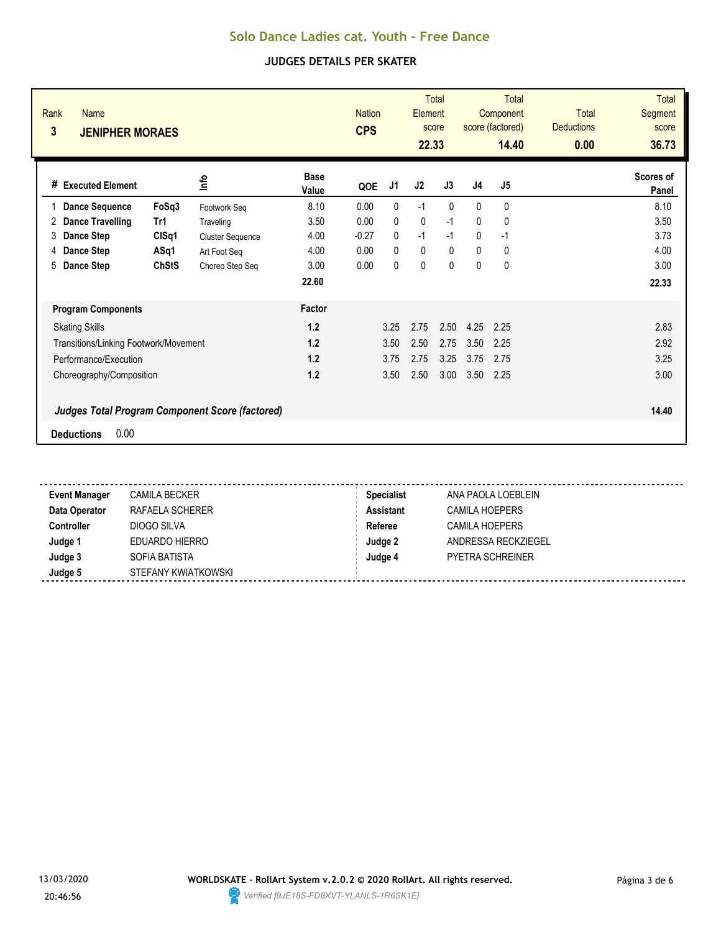| Rank<br><b>Name</b><br>3<br><b>JENIPHER MORAES</b>     |                   |                         |                      | <b>Nation</b><br><b>CPS</b> |              | Element<br>22.33 | <b>Total</b><br>score |              | Total<br>Component<br>score (factored)<br>14.40 | <b>Total</b><br><b>Deductions</b><br>0.00 | <b>Total</b><br>Segment<br>score<br>36.73 |
|--------------------------------------------------------|-------------------|-------------------------|----------------------|-----------------------------|--------------|------------------|-----------------------|--------------|-------------------------------------------------|-------------------------------------------|-------------------------------------------|
| <b>Executed Element</b><br>#                           |                   | lnfo                    | <b>Base</b><br>Value | QOE                         | J1           | J <sub>2</sub>   | J3                    | J4           | J <sub>5</sub>                                  |                                           | Scores of<br>Panel                        |
| <b>Dance Sequence</b>                                  | FoSq3             | Footwork Seg            | 8.10                 | 0.00                        | $\mathbf{0}$ | $-1$             | $\Omega$              | $\Omega$     | 0                                               |                                           | 8.10                                      |
| <b>Dance Travelling</b><br>2                           | Tr1               | Traveling               | 3.50                 | 0.00                        | $\mathbf{0}$ | 0                | $-1$                  | 0            | 0                                               |                                           | 3.50                                      |
| Dance Step<br>3                                        | ClSq <sub>1</sub> | <b>Cluster Sequence</b> | 4.00                 | $-0.27$                     | $\mathbf{0}$ | $-1$             | $-1$                  | $\mathbf{0}$ | $-1$                                            |                                           | 3.73                                      |
| <b>Dance Step</b><br>4                                 | ASq1              | Art Foot Seg            | 4.00                 | 0.00                        | $\Omega$     | 0                | $\mathbf{0}$          | $\mathbf{0}$ | 0                                               |                                           | 4.00                                      |
| 5<br>Dance Step                                        | <b>ChStS</b>      | Choreo Step Seq         | 3.00                 | 0.00                        | $\Omega$     | $\mathbf{0}$     | $\mathbf{0}$          | $\Omega$     | 0                                               |                                           | 3.00                                      |
|                                                        |                   |                         | 22.60                |                             |              |                  |                       |              |                                                 |                                           | 22.33                                     |
| <b>Program Components</b>                              |                   |                         | Factor               |                             |              |                  |                       |              |                                                 |                                           |                                           |
| <b>Skating Skills</b>                                  |                   |                         | 1.2                  |                             | 3.25         | 2.75             | 2.50                  | 4.25         | 2.25                                            |                                           | 2.83                                      |
| Transitions/Linking Footwork/Movement                  |                   |                         | 1.2                  |                             | 3.50         | 2.50             | 2.75                  | 3.50         | 2.25                                            |                                           | 2.92                                      |
| Performance/Execution                                  |                   |                         | 1.2                  |                             | 3.75         | 2.75             | 3.25                  | 3.75         | 2.75                                            |                                           | 3.25                                      |
| Choreography/Composition                               |                   |                         | 1.2                  |                             | 3.50         | 2.50             | 3.00                  | 3.50         | 2.25                                            |                                           | 3.00                                      |
| <b>Judges Total Program Component Score (factored)</b> |                   |                         |                      |                             |              |                  |                       |              |                                                 |                                           | 14.40                                     |
| 0.00<br><b>Deductions</b>                              |                   |                         |                      |                             |              |                  |                       |              |                                                 |                                           |                                           |

| <b>Event Manager</b> | <b>CAMILA BECKER</b> | <b>Specialist</b> | ANA PAOLA LOEBLEIN    |
|----------------------|----------------------|-------------------|-----------------------|
| Data Operator        | RAFAELA SCHERER      | <b>Assistant</b>  | <b>CAMILA HOEPERS</b> |
| Controller           | DIOGO SILVA          | Referee           | CAMILA HOEPERS        |
| Judge 1              | EDUARDO HIERRO       | Judge 2           | ANDRESSA RECKZIEGEL   |
| Judge 3              | SOFIA BATISTA        | Judge 4           | PYETRA SCHREINER      |
| Judge 5              | STEFANY KWIATKOWSKI  |                   |                       |

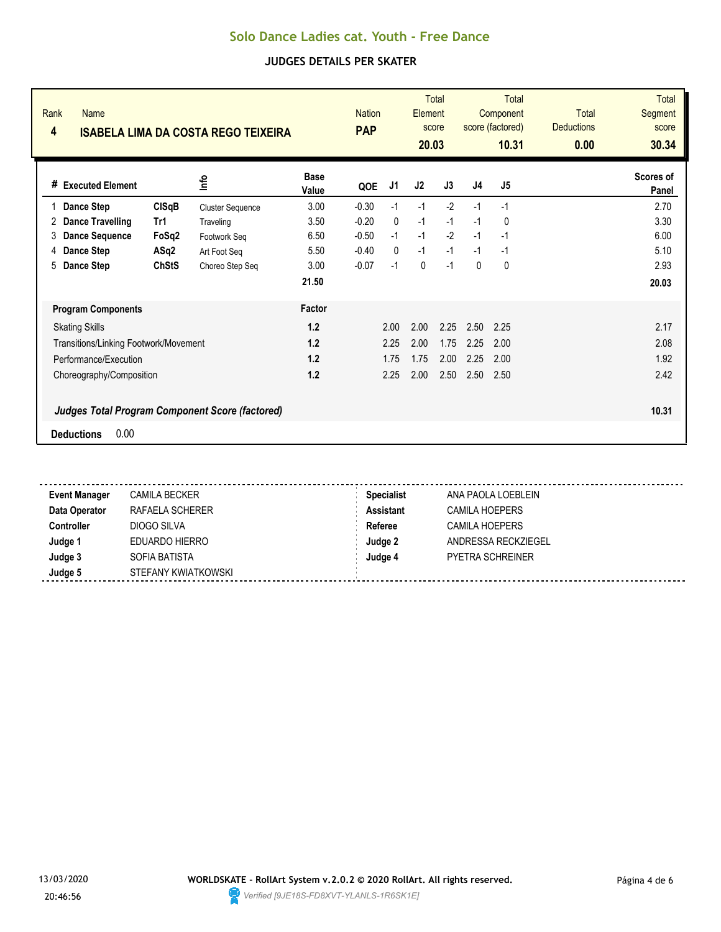| Rank<br>4 | <b>Name</b>                           |              | <b>ISABELA LIMA DA COSTA REGO TEIXEIRA</b>             |                      | <b>Nation</b><br><b>PAP</b> |              | <b>Element</b><br>20.03 | <b>Total</b><br>score |          | Total<br>Component<br>score (factored)<br>10.31 | <b>Total</b><br><b>Deductions</b><br>0.00 | <b>Total</b><br>Segment<br>score<br>30.34 |
|-----------|---------------------------------------|--------------|--------------------------------------------------------|----------------------|-----------------------------|--------------|-------------------------|-----------------------|----------|-------------------------------------------------|-------------------------------------------|-------------------------------------------|
| #         | <b>Executed Element</b>               |              | 울                                                      | <b>Base</b><br>Value | QOE                         | J1           | J2                      | J3                    | J4       | J <sub>5</sub>                                  |                                           | Scores of<br>Panel                        |
|           | Dance Step                            | ClSqB        | <b>Cluster Sequence</b>                                | 3.00                 | $-0.30$                     | $-1$         | $-1$                    | $-2$                  | $-1$     | $-1$                                            |                                           | 2.70                                      |
| 2         | <b>Dance Travelling</b>               | Tr1          | Traveling                                              | 3.50                 | $-0.20$                     | $\mathbf{0}$ | $-1$                    | $-1$                  | $-1$     | 0                                               |                                           | 3.30                                      |
| 3         | <b>Dance Sequence</b>                 | FoSq2        | Footwork Seg                                           | 6.50                 | $-0.50$                     | $-1$         | $-1$                    | $-2$                  | $-1$     | $-1$                                            |                                           | 6.00                                      |
| 4         | <b>Dance Step</b>                     | ASq2         | Art Foot Seg                                           | 5.50                 | $-0.40$                     | $\mathbf{0}$ | $-1$                    | $-1$                  | $-1$     | $-1$                                            |                                           | 5.10                                      |
| 5         | Dance Step                            | <b>ChStS</b> | Choreo Step Seq                                        | 3.00                 | $-0.07$                     | $-1$         | 0                       | $-1$                  | $\Omega$ | 0                                               |                                           | 2.93                                      |
|           |                                       |              |                                                        | 21.50                |                             |              |                         |                       |          |                                                 |                                           | 20.03                                     |
|           | <b>Program Components</b>             |              |                                                        | Factor               |                             |              |                         |                       |          |                                                 |                                           |                                           |
|           | <b>Skating Skills</b>                 |              |                                                        | 1.2                  |                             | 2.00         | 2.00                    | 2.25                  | 2.50     | 2.25                                            |                                           | 2.17                                      |
|           | Transitions/Linking Footwork/Movement |              |                                                        | 1.2                  |                             | 2.25         | 2.00                    | 1.75                  | 2.25     | 2.00                                            |                                           | 2.08                                      |
|           | Performance/Execution                 |              |                                                        | 1.2                  |                             | 1.75         | 1.75                    | 2.00                  | 2.25     | 2.00                                            |                                           | 1.92                                      |
|           | Choreography/Composition              |              |                                                        | 1.2                  |                             | 2.25         | 2.00                    | 2.50                  | 2.50     | 2.50                                            |                                           | 2.42                                      |
|           |                                       |              | <b>Judges Total Program Component Score (factored)</b> |                      |                             |              |                         |                       |          |                                                 |                                           | 10.31                                     |
|           | 0.00<br><b>Deductions</b>             |              |                                                        |                      |                             |              |                         |                       |          |                                                 |                                           |                                           |

| <b>Event Manager</b> | CAMILA BECKER       | <b>Specialist</b> | ANA PAOLA LOEBLEIN      |  |
|----------------------|---------------------|-------------------|-------------------------|--|
| Data Operator        | RAFAELA SCHERER     | <b>Assistant</b>  | CAMILA HOEPERS          |  |
| Controller           | DIOGO SILVA         | Referee           | CAMILA HOEPERS          |  |
| Judge 1              | EDUARDO HIERRO      | Judge 2           | ANDRESSA RECKZIEGEL     |  |
| Judge 3              | SOFIA BATISTA       | Judge 4           | <b>PYETRA SCHREINER</b> |  |
| Judge 5              | STEFANY KWIATKOWSKI |                   |                         |  |

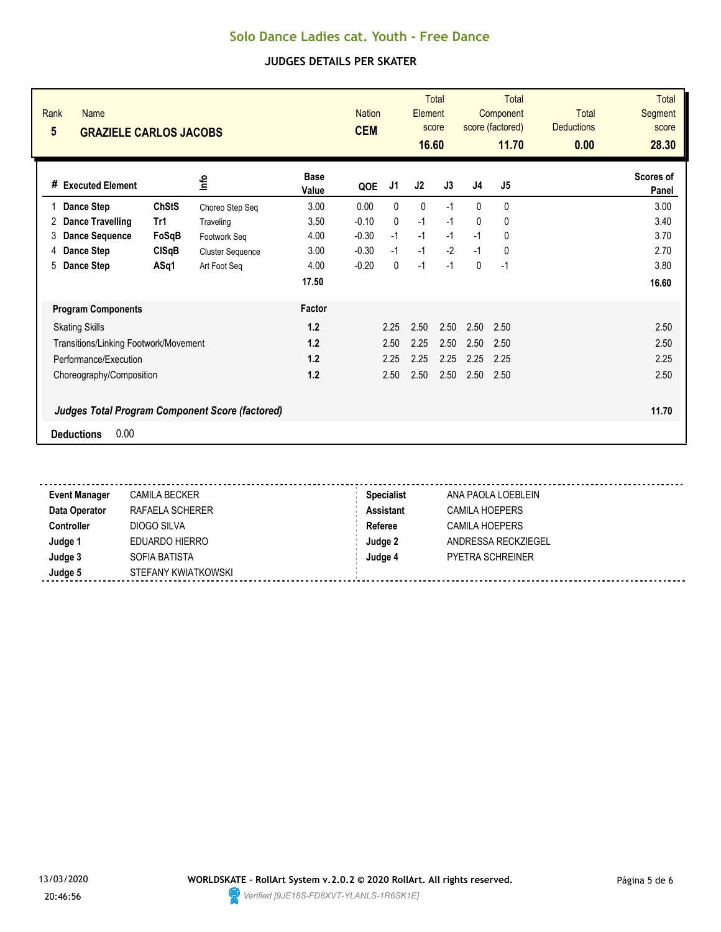| <b>Total</b><br><b>Total</b><br><b>Nation</b><br><b>Total</b><br>Element<br>Component<br>score (factored)<br><b>Deductions</b><br>score<br><b>CEM</b><br>16.60<br>11.70<br>0.00 | <b>Total</b><br>Segment<br>score<br>28.30 |  |  |  |  |                                                        |              | <b>Name</b><br><b>GRAZIELE CARLOS JACOBS</b> | Rank<br>5 |
|---------------------------------------------------------------------------------------------------------------------------------------------------------------------------------|-------------------------------------------|--|--|--|--|--------------------------------------------------------|--------------|----------------------------------------------|-----------|
| <b>Base</b><br>J3<br>J <sub>4</sub><br>J <sub>5</sub><br>J2<br>J1<br>QOE<br>Value                                                                                               | Scores of<br>Panel                        |  |  |  |  | <u>nfo</u>                                             |              | # Executed Element                           |           |
| 3.00<br>0.00<br>0<br>0<br>$-1$<br>$\mathbf{0}$<br>0                                                                                                                             | 3.00                                      |  |  |  |  | Choreo Step Seq                                        | <b>ChStS</b> | Dance Step                                   |           |
| 3.50<br>$-0.10$<br>$\mathbf{0}$<br>$-1$<br>$-1$<br>$\mathbf{0}$<br>0                                                                                                            | 3.40                                      |  |  |  |  | Traveling                                              | Tr1          | <b>Dance Travelling</b>                      | 2         |
| $-0.30$<br>$-1$<br>$-1$<br>$-1$<br>$\mathbf{0}$<br>4.00<br>$-1$                                                                                                                 | 3.70                                      |  |  |  |  | Footwork Seg                                           | FoSqB        | <b>Dance Sequence</b>                        | 3         |
| $-2$<br>$-0.30$<br>$-1$<br>$-1$<br>0<br>3.00<br>$-1$                                                                                                                            | 2.70                                      |  |  |  |  | <b>Cluster Sequence</b>                                | CISqB        | <b>Dance Step</b>                            | 4         |
| $-1$<br>4.00<br>$-0.20$<br>$\mathbf{0}$<br>$-1$<br>$\mathbf{0}$<br>$-1$                                                                                                         | 3.80                                      |  |  |  |  | Art Foot Seg                                           | ASq1         | Dance Step                                   | 5         |
| 17.50                                                                                                                                                                           | 16.60                                     |  |  |  |  |                                                        |              |                                              |           |
| Factor                                                                                                                                                                          |                                           |  |  |  |  |                                                        |              | <b>Program Components</b>                    |           |
| 1.2<br>2.50<br>2.50<br>2.25<br>2.50<br>2.50                                                                                                                                     | 2.50                                      |  |  |  |  |                                                        |              | <b>Skating Skills</b>                        |           |
| 1.2<br>2.25<br>2.50<br>2.50<br>2.50<br>2.50                                                                                                                                     | 2.50                                      |  |  |  |  |                                                        |              | Transitions/Linking Footwork/Movement        |           |
| 2.25<br>2.25<br>1.2<br>2.25<br>2.25<br>2.25                                                                                                                                     | 2.25                                      |  |  |  |  |                                                        |              | Performance/Execution                        |           |
| 1.2<br>2.50<br>2.50<br>2.50<br>2.50<br>2.50                                                                                                                                     | 2.50                                      |  |  |  |  |                                                        |              | Choreography/Composition                     |           |
|                                                                                                                                                                                 | 11.70                                     |  |  |  |  | <b>Judges Total Program Component Score (factored)</b> |              |                                              |           |
|                                                                                                                                                                                 |                                           |  |  |  |  |                                                        |              | 0.00<br><b>Deductions</b>                    |           |

| <b>Event Manager</b> | <b>CAMILA BECKER</b> | <b>Specialist</b> | ANA PAOLA LOEBLEIN      |  |
|----------------------|----------------------|-------------------|-------------------------|--|
| Data Operator        | RAFAELA SCHERER      | <b>Assistant</b>  | <b>CAMILA HOEPERS</b>   |  |
| Controller           | DIOGO SILVA          | Referee           | CAMILA HOEPERS          |  |
| Judge 1              | EDUARDO HIERRO       | Judge 2           | ANDRESSA RECKZIEGEL     |  |
| Judge 3              | SOFIA BATISTA        | Judge 4           | <b>PYETRA SCHREINER</b> |  |
| Judge 5              | STEFANY KWIATKOWSKI  |                   |                         |  |